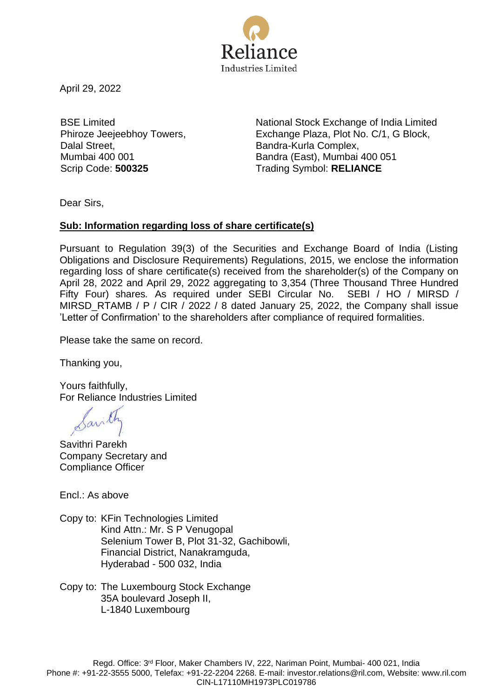

April 29, 2022

BSE Limited Phiroze Jeejeebhoy Towers, Dalal Street, Mumbai 400 001

National Stock Exchange of India Limited Exchange Plaza, Plot No. C/1, G Block, Bandra-Kurla Complex, Bandra (East), Mumbai 400 051 Scrip Code: **500325** Trading Symbol: **RELIANCE**

Dear Sirs,

## **Sub: Information regarding loss of share certificate(s)**

Pursuant to Regulation 39(3) of the Securities and Exchange Board of India (Listing Obligations and Disclosure Requirements) Regulations, 2015, we enclose the information regarding loss of share certificate(s) received from the shareholder(s) of the Company on April 28, 2022 and April 29, 2022 aggregating to 3,354 (Three Thousand Three Hundred Fifty Four) shares*.* As required under SEBI Circular No. SEBI / HO / MIRSD / MIRSD\_RTAMB / P / CIR / 2022 / 8 dated January 25, 2022, the Company shall issue 'Letter of Confirmation' to the shareholders after compliance of required formalities.

Please take the same on record.

Thanking you,

Yours faithfully, For Reliance Industries Limited

Sarith

Savithri Parekh Company Secretary and Compliance Officer

Encl.: As above

Copy to: KFin Technologies Limited Kind Attn.: Mr. S P Venugopal Selenium Tower B, Plot 31-32, Gachibowli, Financial District, Nanakramguda, Hyderabad - 500 032, India

Copy to: The Luxembourg Stock Exchange 35A boulevard Joseph II, L-1840 Luxembourg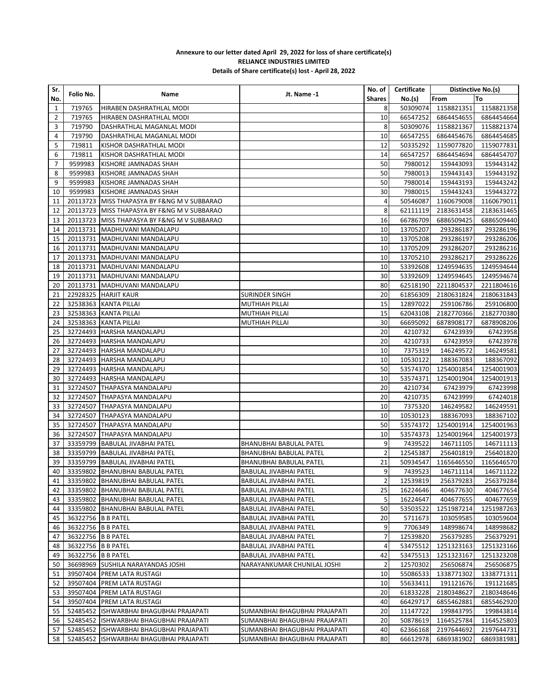## **Annexure to our letter dated April 29, 2022 for loss of share certificate(s) RELIANCE INDUSTRIES LIMITED Details of Share certificate(s) lost - April 28, 2022**

| Sr.            |                    |                                             |                               | No. of         | Certificate | Distinctive No.(s) |            |
|----------------|--------------------|---------------------------------------------|-------------------------------|----------------|-------------|--------------------|------------|
| No.            | Folio No.          | Name                                        | Jt. Name -1                   | <b>Shares</b>  | No.(s)      | From               | То         |
| 1              | 719765             | HIRABEN DASHRATHLAL MODI                    |                               | 8              | 50309074    | 1158821351         | 1158821358 |
| $\overline{2}$ | 719765             | HIRABEN DASHRATHLAL MODI                    |                               | 10             | 66547252    | 6864454655         | 6864454664 |
| 3              | 719790             | DASHRATHLAL MAGANLAL MODI                   |                               | 8              | 50309076    | 1158821367         | 1158821374 |
| 4              | 719790             | DASHRATHLAL MAGANLAL MODI                   |                               | 10             | 66547255    | 6864454676         | 6864454685 |
| 5              | 719811             | KISHOR DASHRATHLAL MODI                     |                               | 12             | 50335292    | 1159077820         | 1159077831 |
| 6              | 719811             | KISHOR DASHRATHLAL MODI                     |                               | 14             | 66547257    | 6864454694         | 6864454707 |
| 7              | 9599983            | KISHORE JAMNADAS SHAH                       |                               | 50             | 7980012     | 159443093          | 159443142  |
| 8              | 9599983            | KISHORE JAMNADAS SHAH                       |                               | 50             | 7980013     | 159443143          | 159443192  |
| 9              |                    | 9599983 KISHORE JAMNADAS SHAH               |                               | 50             | 7980014     | 159443193          | 159443242  |
| 10             | 9599983            | KISHORE JAMNADAS SHAH                       |                               | 30             | 7980015     | 159443243          | 159443272  |
|                |                    |                                             |                               | 4              | 50546087    | 1160679008         | 1160679011 |
| 11             |                    | 20113723 MISS THAPASYA BY F&NG M V SUBBARAO |                               | 8              |             |                    |            |
| 12             |                    | 20113723 MISS THAPASYA BY F&NG M V SUBBARAO |                               |                | 62111119    | 2183631458         | 2183631465 |
| 13             |                    | 20113723 MISS THAPASYA BY F&NG M V SUBBARAO |                               | 16             | 66786709    | 6886509425         | 6886509440 |
| 14             |                    | 20113731   MADHUVANI MANDALAPU              |                               | 10             | 13705207    | 293286187          | 293286196  |
| 15             |                    | 20113731   MADHUVANI MANDALAPU              |                               | 10             | 13705208    | 293286197          | 293286206  |
| 16             |                    | 20113731   MADHUVANI MANDALAPU              |                               | 10             | 13705209    | 293286207          | 293286216  |
| 17             |                    | 20113731 MADHUVANI MANDALAPU                |                               | 10             | 13705210    | 293286217          | 293286226  |
| 18             |                    | 20113731   MADHUVANI MANDALAPU              |                               | 10             | 53392608    | 1249594635         | 1249594644 |
| 19             |                    | 20113731 MADHUVANI MANDALAPU                |                               | 30             | 53392609    | 1249594645         | 1249594674 |
| 20             |                    | 20113731   MADHUVANI MANDALAPU              |                               | 80             | 62518190    | 2211804537         | 2211804616 |
| 21             |                    | 22928325   HARJIT KAUR                      | <b>SURINDER SINGH</b>         | 20             | 61856309    | 2180631824         | 2180631843 |
| 22             |                    | 32538363 KANTA PILLAI                       | MUTHIAH PILLAI                | 15             | 12897022    | 259106786          | 259106800  |
| 23             |                    | 32538363 KANTA PILLAI                       | MUTHIAH PILLAI                | 15             | 62043108    | 2182770366         | 2182770380 |
| 24             |                    | 32538363 KANTA PILLAI                       | MUTHIAH PILLAI                | 30             | 66695092    | 6878908177         | 6878908206 |
| 25             |                    | 32724493 HARSHA MANDALAPU                   |                               | 20             | 4210732     | 67423939           | 67423958   |
| 26             |                    | 32724493 HARSHA MANDALAPU                   |                               | 20             | 4210733     | 67423959           | 67423978   |
| 27             |                    | 32724493   HARSHA MANDALAPU                 |                               | 10             | 7375319     | 146249572          | 146249581  |
| 28             |                    | 32724493   HARSHA MANDALAPU                 |                               | 10             | 10530122    | 188367083          | 188367092  |
| 29             |                    | 32724493 HARSHA MANDALAPU                   |                               | 50             | 53574370    | 1254001854         | 1254001903 |
| 30             |                    | 32724493   HARSHA MANDALAPU                 |                               | 10             | 53574371    | 1254001904         | 1254001913 |
| 31             |                    | 32724507 THAPASYA MANDALAPU                 |                               | 20             | 4210734     | 67423979           | 67423998   |
| 32             |                    | 32724507 THAPASYA MANDALAPU                 |                               | 20             | 4210735     | 67423999           | 67424018   |
| 33             |                    | 32724507 THAPASYA MANDALAPU                 |                               | 10             | 7375320     | 146249582          | 146249591  |
| 34             |                    | 32724507 THAPASYA MANDALAPU                 |                               | 10             | 10530123    | 188367093          | 188367102  |
|                |                    |                                             |                               | 50             |             |                    |            |
| 35             |                    | 32724507 THAPASYA MANDALAPU                 |                               |                | 53574372    | 1254001914         | 1254001963 |
| 36             |                    | 32724507 THAPASYA MANDALAPU                 |                               | 10             | 53574373    | 1254001964         | 1254001973 |
| 37             |                    | 33359799   BABULAL JIVABHAI PATEL           | BHANUBHAI BABULAL PATEL       | 9              | 7439522     | 146711105          | 146711113  |
| 38             |                    | 33359799 BABULAL JIVABHAI PATEL             | BHANUBHAI BABULAL PATEL       | $\overline{2}$ | 12545387    | 256401819          | 256401820  |
| 39             |                    | 33359799 BABULAL JIVABHAI PATEL             | BHANUBHAI BABULAL PATEL       | 21             | 50934547    | 1165646550         | 1165646570 |
| 40             |                    | 33359802 BHANUBHAI BABULAL PATEL            | BABULAL JIVABHAI PATEL        | 9              | 7439523     | 146711114          | 146711122  |
|                |                    | 41 33359802 BHANUBHAI BABULAL PATEL         | BABULAL JIVABHAI PATEL        | $\overline{2}$ | 12539819    | 256379283          | 256379284  |
| 42 I           |                    | 33359802   BHANUBHAI BABULAL PATEL          | BABULAL JIVABHAI PATEL        | 25             | 16224646    | 404677630          | 404677654  |
| 43             |                    | 33359802 BHANUBHAI BABULAL PATEL            | BABULAL JIVABHAI PATEL        | 5              | 16224647    | 404677655          | 404677659  |
| 44             |                    | 33359802 BHANUBHAI BABULAL PATEL            | BABULAL JIVABHAI PATEL        | 50             | 53503522    | 1251987214         | 1251987263 |
| 45             | 36322756 B B PATEL |                                             | BABULAL JIVABHAI PATEL        | 20             | 5711673     | 103059585          | 103059604  |
| 46             | 36322756 B B PATEL |                                             | BABULAL JIVABHAI PATEL        | 9              | 7706349     | 148998674          | 148998682  |
| 47             | 36322756 B B PATEL |                                             | BABULAL JIVABHAI PATEL        | $\overline{7}$ | 12539820    | 256379285          | 256379291  |
| 48             | 36322756 B B PATEL |                                             | BABULAL JIVABHAI PATEL        | 4              | 53475512    | 1251323163         | 1251323166 |
| 49             | 36322756 B B PATEL |                                             | BABULAL JIVABHAI PATEL        | 42             | 53475513    | 1251323167         | 1251323208 |
| 50             |                    | 36698969 SUSHILA NARAYANDAS JOSHI           | NARAYANKUMAR CHUNILAL JOSHI   | $\overline{2}$ | 12570302    | 256506874          | 256506875  |
| 51             |                    | 39507404 PREM LATA RUSTAGI                  |                               | 10             | 55086533    | 1338771302         | 1338771311 |
| 52             |                    | 39507404   PREM LATA RUSTAGI                |                               | 10             | 55633411    | 191121676          | 191121685  |
| 53             |                    | 39507404 PREM LATA RUSTAGI                  |                               | 20             | 61833228    | 2180348627         | 2180348646 |
| 54             |                    | 39507404 PREM LATA RUSTAGI                  |                               | 40             | 66429717    | 6855462881         | 6855462920 |
| 55             |                    | 52485452 ISHWARBHAI BHAGUBHAI PRAJAPATI     | SUMANBHAI BHAGUBHAI PRAJAPATI | 20             | 11147722    | 199843795          | 199843814  |
| 56             |                    | 52485452   ISHWARBHAI BHAGUBHAI PRAJAPATI   | SUMANBHAI BHAGUBHAI PRAJAPATI | 20             | 50878619    | 1164525784         | 1164525803 |
| 57             |                    | 52485452   ISHWARBHAI BHAGUBHAI PRAJAPATI   | SUMANBHAI BHAGUBHAI PRAJAPATI | 40             | 62366168    | 2197644692         | 2197644731 |
| 58             |                    | 52485452   ISHWARBHAI BHAGUBHAI PRAJAPATI   | SUMANBHAI BHAGUBHAI PRAJAPATI | 80             | 66612978    | 6869381902         | 6869381981 |
|                |                    |                                             |                               |                |             |                    |            |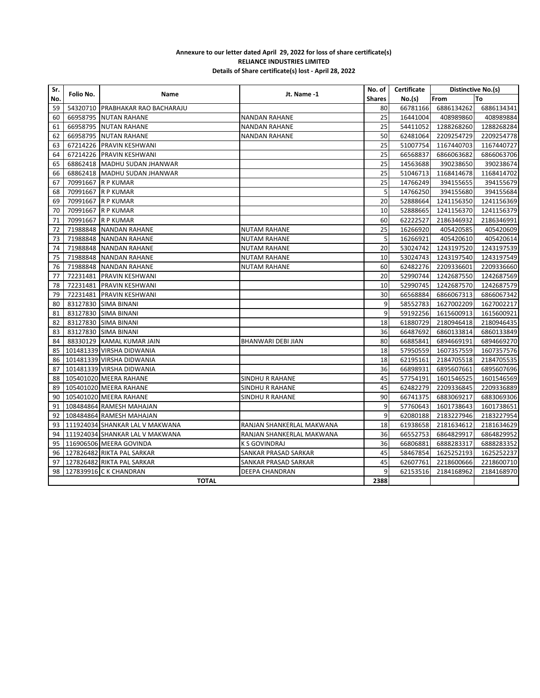## **Annexure to our letter dated April 29, 2022 for loss of share certificate(s) RELIANCE INDUSTRIES LIMITED Details of Share certificate(s) lost - April 28, 2022**

| Sr.<br>No. | Folio No.    | <b>Name</b>                          | Jt. Name 1                | No. of        | Certificate | Distinctive No.(s) |            |
|------------|--------------|--------------------------------------|---------------------------|---------------|-------------|--------------------|------------|
|            |              |                                      |                           | <b>Shares</b> | No.(s)      | From               | To         |
| 59         |              | 54320710 PRABHAKAR RAO BACHARAJU     |                           | 80            | 66781166    | 6886134262         | 6886134341 |
| 60         |              | 66958795 NUTAN RAHANE                | <b>NANDAN RAHANE</b>      | 25            | 16441004    | 408989860          | 408989884  |
| 61         |              | 66958795 NUTAN RAHANE                | <b>NANDAN RAHANE</b>      | 25            | 54411052    | 1288268260         | 1288268284 |
| 62         |              | 66958795 NUTAN RAHANE                | <b>NANDAN RAHANE</b>      | 50            | 62481064    | 2209254729         | 2209254778 |
| 63         |              | 67214226 PRAVIN KESHWANI             |                           | 25            | 51007754    | 1167440703         | 1167440727 |
| 64         |              | 67214226 PRAVIN KESHWANI             |                           | 25            | 66568837    | 6866063682         | 6866063706 |
| 65         |              | 68862418   MADHU SUDAN JHANWAR       |                           | 25            | 14563688    | 390238650          | 390238674  |
| 66         |              | 68862418   MADHU SUDAN JHANWAR       |                           | 25            | 51046713    | 1168414678         | 1168414702 |
| 67         |              | 70991667 R P KUMAR                   |                           | 25            | 14766249    | 394155655          | 394155679  |
| 68         |              | 70991667 R P KUMAR                   |                           | 5             | 14766250    | 394155680          | 394155684  |
| 69         |              | 70991667 R P KUMAR                   |                           | 20            | 52888664    | 1241156350         | 1241156369 |
| 70         |              | 70991667 R P KUMAR                   |                           | 10            | 52888665    | 1241156370         | 1241156379 |
| 71         |              | 70991667 R P KUMAR                   |                           | 60            | 62222527    | 2186346932         | 2186346991 |
| 72         |              | 71988848 NANDAN RAHANE               | <b>NUTAM RAHANE</b>       | 25            | 16266920    | 405420585          | 405420609  |
| 73         |              | 71988848 NANDAN RAHANE               | <b>NUTAM RAHANE</b>       | 5             | 16266921    | 405420610          | 405420614  |
| 74         |              | 71988848 NANDAN RAHANE               | <b>NUTAM RAHANE</b>       | 20            | 53024742    | 1243197520         | 1243197539 |
| 75         |              | 71988848 NANDAN RAHANE               | <b>NUTAM RAHANE</b>       | 10            | 53024743    | 1243197540         | 1243197549 |
| 76         |              | 71988848 NANDAN RAHANE               | <b>NUTAM RAHANE</b>       | 60            | 62482276    | 2209336601         | 2209336660 |
| 77         |              | 72231481 PRAVIN KESHWANI             |                           | 20            | 52990744    | 1242687550         | 1242687569 |
| 78         |              | 72231481 PRAVIN KESHWANI             |                           | 10            | 52990745    | 1242687570         | 1242687579 |
| 79         |              | 72231481 PRAVIN KESHWANI             |                           | 30            | 66568884    | 6866067313         | 6866067342 |
| 80         |              | 83127830 SIMA BINANI                 |                           | 9             | 58552783    | 1627002209         | 1627002217 |
| 81         |              | 83127830 SIMA BINANI                 |                           | 9             | 59192256    | 1615600913         | 1615600921 |
| 82         |              | 83127830 SIMA BINANI                 |                           | 18            | 61880729    | 2180946418         | 2180946435 |
| 83         |              | 83127830 SIMA BINANI                 |                           | 36            | 66487692    | 6860133814         | 6860133849 |
| 84         |              | 88330129 KAMAL KUMAR JAIN            | BHANWARI DEBI JIAN        | 80            | 66885841    | 6894669191         | 6894669270 |
| 85         |              | 101481339 VIRSHA DIDWANIA            |                           | 18            | 57950559    | 1607357559         | 1607357576 |
| 86         |              | 101481339 VIRSHA DIDWANIA            |                           | 18            | 62195161    | 2184705518         | 2184705535 |
| 87         |              | 101481339 VIRSHA DIDWANIA            |                           | 36            | 66898931    | 6895607661         | 6895607696 |
| 88         |              | 105401020 MEERA RAHANE               | SINDHU R RAHANE           | 45            | 57754191    | 1601546525         | 1601546569 |
| 89         |              | 105401020 MEERA RAHANE               | SINDHU R RAHANE           | 45            | 62482279    | 2209336845         | 2209336889 |
| 90         |              | 105401020 MEERA RAHANE               | SINDHU R RAHANE           | 90            | 66741375    | 6883069217         | 6883069306 |
| 91         |              | 108484864 RAMESH MAHAJAN             |                           | 9             | 57760643    | 1601738643         | 1601738651 |
| 92         |              | 108484864 RAMESH MAHAJAN             |                           | 9             | 62080188    | 2183227946         | 2183227954 |
| 93         |              | 111924034 SHANKAR LAL V MAKWANA      | RANJAN SHANKERLAL MAKWANA | 18            | 61938658    | 2181634612         | 2181634629 |
|            |              | 94   111924034 SHANKAR LAL V MAKWANA | RANJAN SHANKERLAL MAKWANA | 36            | 66552753    | 6864829917         | 6864829952 |
| 95         |              | 116906506 MEERA GOVINDA              | <b>K S GOVINDRAJ</b>      | 36            | 66806881    | 6888283317         | 6888283352 |
| 96         |              | 127826482 RIKTA PAL SARKAR           | SANKAR PRASAD SARKAR      | 45            | 58467854    | 1625252193         | 1625252237 |
| 97         |              | 127826482 RIKTA PAL SARKAR           | SANKAR PRASAD SARKAR      | 45            | 62607761    | 2218600666         | 2218600710 |
| 98         |              | 127839916 C K CHANDRAN               | DEEPA CHANDRAN            | 9             | 62153516    | 2184168962         | 2184168970 |
|            | <b>TOTAL</b> |                                      |                           |               |             |                    |            |